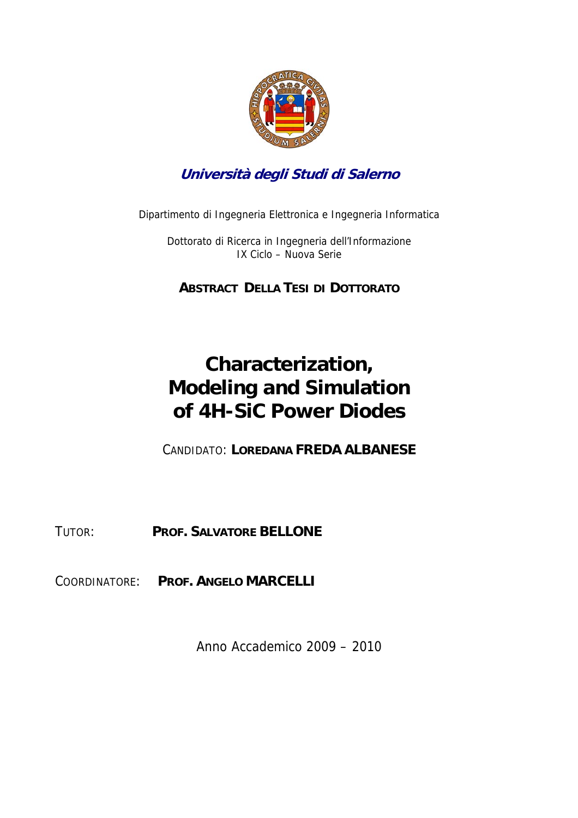

## **Università degli Studi di Salerno**

Dipartimento di Ingegneria Elettronica e Ingegneria Informatica

Dottorato di Ricerca in Ingegneria dell'Informazione IX Ciclo – Nuova Serie

**ABSTRACT DELLA TESI DI DOTTORATO**

## **Characterization, Modeling and Simulation of 4H-SiC Power Diodes**

CANDIDATO: **LOREDANA FREDA ALBANESE** 

TUTOR: **PROF. SALVATORE BELLONE** 

COORDINATORE: **PROF. ANGELO MARCELLI** 

Anno Accademico 2009 – 2010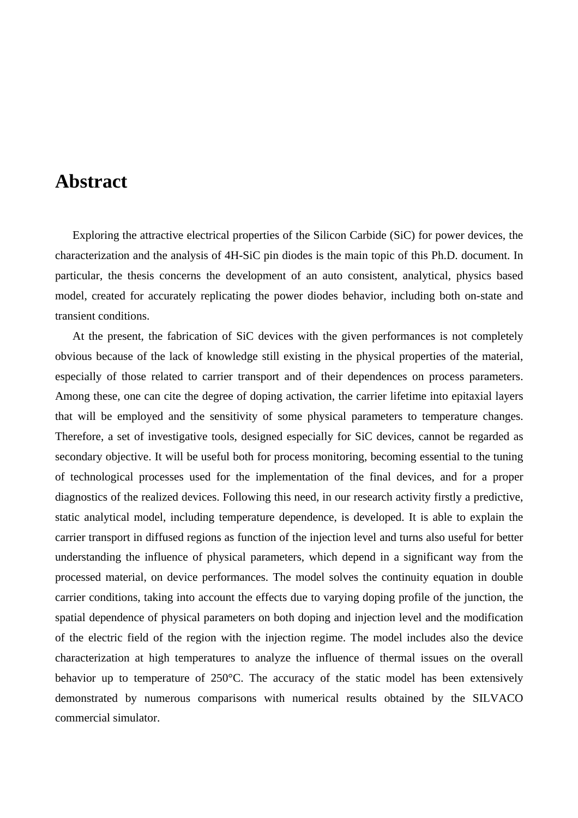## **Abstract**

 Exploring the attractive electrical properties of the Silicon Carbide (SiC) for power devices, the characterization and the analysis of 4H-SiC pin diodes is the main topic of this Ph.D. document. In particular, the thesis concerns the development of an auto consistent, analytical, physics based model, created for accurately replicating the power diodes behavior, including both on-state and transient conditions.

 At the present, the fabrication of SiC devices with the given performances is not completely obvious because of the lack of knowledge still existing in the physical properties of the material, especially of those related to carrier transport and of their dependences on process parameters. Among these, one can cite the degree of doping activation, the carrier lifetime into epitaxial layers that will be employed and the sensitivity of some physical parameters to temperature changes. Therefore, a set of investigative tools, designed especially for SiC devices, cannot be regarded as secondary objective. It will be useful both for process monitoring, becoming essential to the tuning of technological processes used for the implementation of the final devices, and for a proper diagnostics of the realized devices. Following this need, in our research activity firstly a predictive, static analytical model, including temperature dependence, is developed. It is able to explain the carrier transport in diffused regions as function of the injection level and turns also useful for better understanding the influence of physical parameters, which depend in a significant way from the processed material, on device performances. The model solves the continuity equation in double carrier conditions, taking into account the effects due to varying doping profile of the junction, the spatial dependence of physical parameters on both doping and injection level and the modification of the electric field of the region with the injection regime. The model includes also the device characterization at high temperatures to analyze the influence of thermal issues on the overall behavior up to temperature of 250°C. The accuracy of the static model has been extensively demonstrated by numerous comparisons with numerical results obtained by the SILVACO commercial simulator.